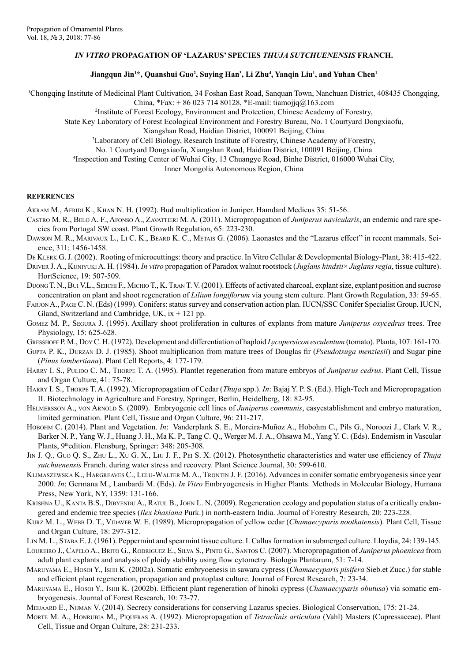## *IN VITRO* **PROPAGATION OF 'LAZARUS' SPECIES** *THUJA SUTCHUENENSIS* **FRANCH.**

## **Jiangqun Jin1 \*, Quanshui Guo2 , Suying Han3 , Li Zhu4 , Yanqin Liu1 , and Yuhan Chen1**

1 Chongqing Institute of Medicinal Plant Cultivation, 34 Foshan East Road, Sanquan Town, Nanchuan District, 408435 Chongqing,

China, \*Fax: + 86 023 714 80128, \*E-mail: tiamojjq@163.com

2 Institute of Forest Ecology, Environment and Protection, Chinese Academy of Forestry,

State Key Laboratory of Forest Ecological Environment and Forestry Bureau, No. 1 Courtyard Dongxiaofu,

Xiangshan Road, Haidian District, 100091 Beijing, China

3 Laboratory of Cell Biology, Research Institute of Forestry, Chinese Academy of Forestry,

No. 1 Courtyard Dongxiaofu, Xiangshan Road, Haidian District, 100091 Beijing, China

4 Inspection and Testing Center of Wuhai City, 13 Chuangye Road, Binhe District, 016000 Wuhai City,

Inner Mongolia Autonomous Region, China

## **REFERENCES**

AKRAM M., AFRIDI K., KHAN N. H. (1992). Bud multiplication in Juniper. Hamdard Medicus 35: 51-56.

- Castro M. R., Belo A. F., Afonso A., Zavattieri M. A. (2011). Micropropagation of *Juniperus navicularis*, an endemic and rare species from Portugal SW coast. Plant Growth Regulation, 65: 223-230.
- DAWSON M. R., MARIVAUX L., LI C. K., BEARD K. C., METAIS G. (2006). Laonastes and the "Lazarus effect" in recent mammals. Science, 311: 1456-1458.
- DE KLERK G. J. (2002). Rooting of microcuttings: theory and practice. In Vitro Cellular & Developmental Biology-Plant, 38: 415-422.
- Driver J. A., KuniyukiA. H. (1984). *In vitro* propagation of Paradox walnut rootstock (*Juglans hindsii*× *Juglans regia*, tissue culture). HortScience, 19: 507-509.
- DUONG T. N., BUI V.L., SEIICHI F., MICHIO T., K. TRAN T. V. (2001). Effects of activated charcoal, explant size, explant position and sucrose concentration on plant and shoot regeneration of *Lilium longiflorum* via young stem culture. Plant Growth Regulation, 33: 59-65.
- Farjon A., Page C. N. (Eds) (1999). Conifers: status survey and conservation action plan. IUCN/SSC Conifer Specialist Group. IUCN, Gland, Switzerland and Cambridge, UK,  $ix + 121$  pp.
- Gomez M. P., Segura J. (1995). Axillary shoot proliferation in cultures of explants from mature *Juniperus oxycedrus* trees. Tree Physiology, 15: 625-628.

Gresshoff P. M., Doy C. H. (1972). Development and differentiation of haploid *Lycopersicon esculentum* (tomato). Planta, 107: 161-170.

- Gupta P. K., Durzan D. J. (1985). Shoot multiplication from mature trees of Douglas fir (*Pseudotsuga menziesii*) and Sugar pine (*Pinus lambertiana*). Plant Cell Reports, 4: 177-179.
- HARRY I. S., PULIDO C. M., THORPE T. A. (1995). Plantlet regeneration from mature embryos of *Juniperus cedrus*. Plant Cell, Tissue and Organ Culture, 41: 75-78.
- Harry I. S., Thorpe T. A. (1992). Micropropagation of Cedar (*Thuja* spp.). *In*: Bajaj Y. P. S. (Ed.). High-Tech and Micropropagation II. Biotechnology in Agriculture and Forestry, Springer, Berlin, Heidelberg, 18: 82-95.
- HELMERSSON A., VON ARNOLD S. (2009). Embryogenic cell lines of *Juniperus communis*, easyestablishment and embryo maturation, limited germination. Plant Cell, Tissue and Organ Culture, 96: 211-217.
- Hobohm C. (2014). Plant and Vegetation. *In*: Vanderplank S. E., Moreira-Muñoz A., Hobohm C., Pils G., Noroozi J., Clark V. R., Barker N. P., Yang W. J., Huang J. H., Ma K. P., Tang C. Q., Werger M. J. A., Ohsawa M., Yang Y. C. (Eds). Endemism in Vascular Plants, 9thedition. Flensburg, Springer: 348: 205-308.
- Jin J. Q., Guo Q. S., Zhu L., Xu G. X., Liu J. F., Pei S. X. (2012). Photosynthetic characteristics and water use efficiency of *Thuja sutchuenensis* Franch. during water stress and recovery. Plant Science Journal, 30: 599-610.
- Klimaszewska K., Hargreaves C., Lelu-Walter M. A., Trontin J. F. (2016). Advances in conifer somatic embryogenesis since year 2000. *In*: Germana M., Lambardi M. (Eds). *In Vitro* Embryogenesis in Higher Plants. Methods in Molecular Biology, Humana Press, New York, NY, 1359: 131-166.
- KRISHNA U., KANTA B.S., DIBYENDU A., RATUL B., JOHN L. N. (2009). Regeneration ecology and population status of a critically endangered and endemic tree species (*Ilex khasiana* Purk.) in north-eastern India. Journal of Forestry Research, 20: 223-228.
- Kurz M. L., Webb D. T., Vidaver W. E. (1989). Micropropagation of yellow cedar (*Chamaecyparis nootkatensis*). Plant Cell, Tissue and Organ Culture, 18: 297-312.
- Lin M. L., Staba E. J. (1961). Peppermint and spearmint tissue culture. I. Callus formation in submerged culture. Lloydia, 24: 139-145.
- Loureiro J., Capelo A., Brito G., Rodriguez E., Silva S., Pinto G., Santos C. (2007). Micropropagation of *Juniperus phoenicea* from adult plant explants and analysis of ploidy stability using flow cytometry. Biologia Plantarum, 51: 7-14.
- Maruyama E., Hosoi Y., Ishii K. (2002a). Somatic embryoenesis in sawara cypress (*Chamaecyparis pisifera* Sieb.et Zucc.) for stable and efficient plant regeneration, propagation and protoplast culture. Journal of Forest Research, 7: 23-34.
- Maruyama E., Hosoi Y., Ishii K. (2002b). Efficient plant regeneration of hinoki cypress (*Chamaecyparis obutusa*) via somatic embryogenesis. Journal of Forest Research, 10: 73-77.
- Meijaard E., Nijman V. (2014). Secrecy considerations for conserving Lazarus species. Biological Conservation, 175: 21-24.
- Morte M. A., Honrubia M., Piqueras A. (1992). Micropropagation of *Tetraclinis articulata* (Vahl) Masters (Cupressaceae). Plant Cell, Tissue and Organ Culture, 28: 231-233.